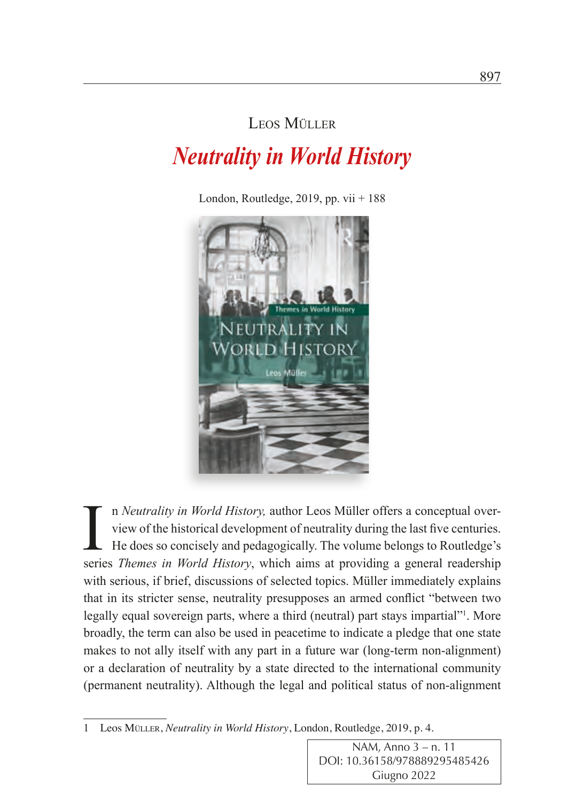## Leos Müller

## *Neutrality in World History*

London, Routledge, 2019, pp. vii  $+188$ 



In *Neutrality in World History*, author Leos Müller offers a conceptual over-<br>view of the historical development of neutrality during the last five centuries.<br>He does so concisely and pedagogically. The volume belongs to n *Neutrality in World History,* author Leos Müller offers a conceptual overview of the historical development of neutrality during the last five centuries. He does so concisely and pedagogically. The volume belongs to Routledge's with serious, if brief, discussions of selected topics. Müller immediately explains that in its stricter sense, neutrality presupposes an armed conflict "between two legally equal sovereign parts, where a third (neutral) part stays impartial"<sup>1</sup>. More broadly, the term can also be used in peacetime to indicate a pledge that one state makes to not ally itself with any part in a future war (long-term non-alignment) or a declaration of neutrality by a state directed to the international community (permanent neutrality). Although the legal and political status of non-alignment

NAM, Anno 3 – n. 11 DOI: 10.36158/978889295485426 Giugno 2022

<sup>1</sup> Leos Müller, *Neutrality in World History*, London, Routledge, 2019, p. 4.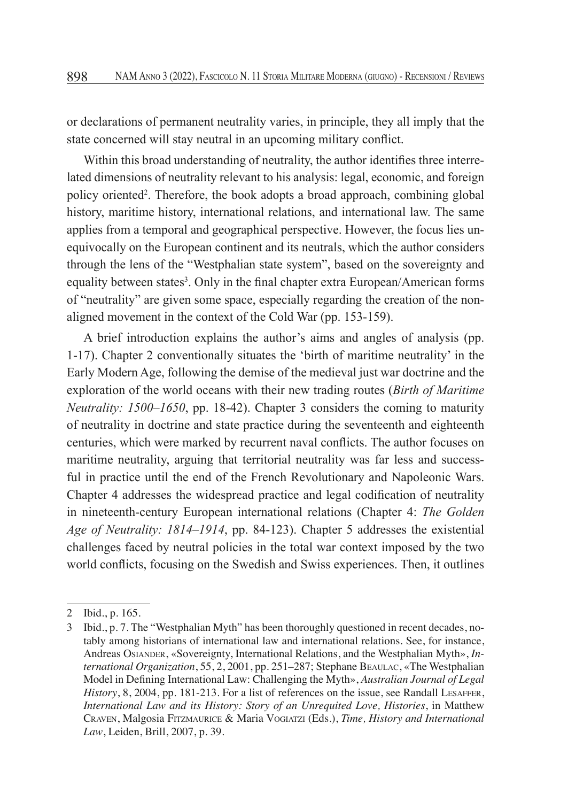or declarations of permanent neutrality varies, in principle, they all imply that the state concerned will stay neutral in an upcoming military conflict.

Within this broad understanding of neutrality, the author identifies three interrelated dimensions of neutrality relevant to his analysis: legal, economic, and foreign policy oriented<sup>2</sup>. Therefore, the book adopts a broad approach, combining global history, maritime history, international relations, and international law. The same applies from a temporal and geographical perspective. However, the focus lies unequivocally on the European continent and its neutrals, which the author considers through the lens of the "Westphalian state system", based on the sovereignty and equality between states<sup>3</sup>. Only in the final chapter extra European/American forms of "neutrality" are given some space, especially regarding the creation of the nonaligned movement in the context of the Cold War (pp. 153-159).

A brief introduction explains the author's aims and angles of analysis (pp. 1-17). Chapter 2 conventionally situates the 'birth of maritime neutrality' in the Early Modern Age, following the demise of the medieval just war doctrine and the exploration of the world oceans with their new trading routes (*Birth of Maritime Neutrality: 1500–1650*, pp. 18-42). Chapter 3 considers the coming to maturity of neutrality in doctrine and state practice during the seventeenth and eighteenth centuries, which were marked by recurrent naval conflicts. The author focuses on maritime neutrality, arguing that territorial neutrality was far less and successful in practice until the end of the French Revolutionary and Napoleonic Wars. Chapter 4 addresses the widespread practice and legal codification of neutrality in nineteenth-century European international relations (Chapter 4: *The Golden Age of Neutrality: 1814–1914*, pp. 84-123). Chapter 5 addresses the existential challenges faced by neutral policies in the total war context imposed by the two world conflicts, focusing on the Swedish and Swiss experiences. Then, it outlines

<sup>2</sup> Ibid., p. 165.

<sup>3</sup> Ibid., p. 7. The "Westphalian Myth" has been thoroughly questioned in recent decades, notably among historians of international law and international relations. See, for instance, Andreas Osiander, «Sovereignty, International Relations, and the Westphalian Myth», *International Organization*, 55, 2, 2001, pp. 251–287; Stephane Beaulac, «The Westphalian Model in Defining International Law: Challenging the Myth», *Australian Journal of Legal History*, 8, 2004, pp. 181-213. For a list of references on the issue, see Randall LESAFFER, *International Law and its History: Story of an Unrequited Love, Histories*, in Matthew Craven, Malgosia Fitzmaurice & Maria Vogiatzi (Eds.), *Time, History and International Law*, Leiden, Brill, 2007, p. 39.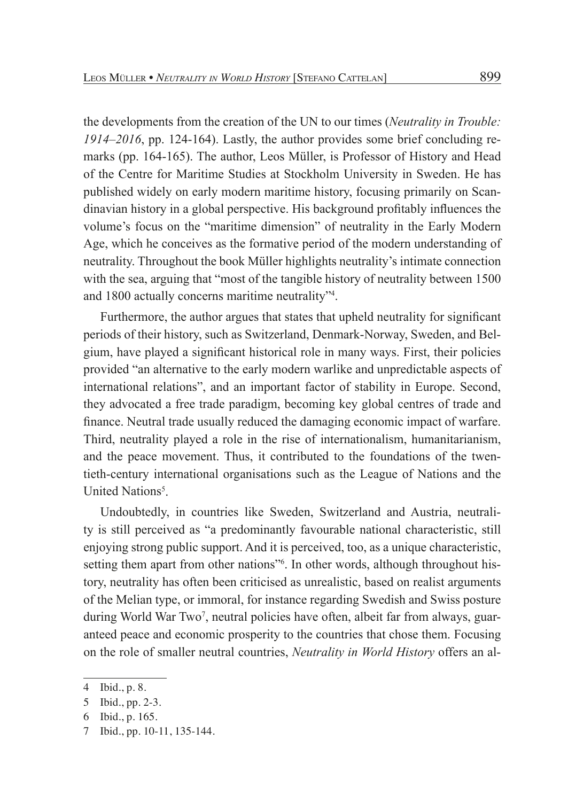the developments from the creation of the UN to our times (*Neutrality in Trouble: 1914–2016*, pp. 124-164). Lastly, the author provides some brief concluding remarks (pp. 164-165). The author, Leos Müller, is Professor of History and Head of the Centre for Maritime Studies at Stockholm University in Sweden. He has published widely on early modern maritime history, focusing primarily on Scandinavian history in a global perspective. His background profitably influences the volume's focus on the "maritime dimension" of neutrality in the Early Modern Age, which he conceives as the formative period of the modern understanding of neutrality. Throughout the book Müller highlights neutrality's intimate connection with the sea, arguing that "most of the tangible history of neutrality between 1500 and 1800 actually concerns maritime neutrality"4 .

Furthermore, the author argues that states that upheld neutrality for significant periods of their history, such as Switzerland, Denmark-Norway, Sweden, and Belgium, have played a significant historical role in many ways. First, their policies provided "an alternative to the early modern warlike and unpredictable aspects of international relations", and an important factor of stability in Europe. Second, they advocated a free trade paradigm, becoming key global centres of trade and finance. Neutral trade usually reduced the damaging economic impact of warfare. Third, neutrality played a role in the rise of internationalism, humanitarianism, and the peace movement. Thus, it contributed to the foundations of the twentieth-century international organisations such as the League of Nations and the United Nations<sup>5</sup>.

Undoubtedly, in countries like Sweden, Switzerland and Austria, neutrality is still perceived as "a predominantly favourable national characteristic, still enjoying strong public support. And it is perceived, too, as a unique characteristic, setting them apart from other nations<sup>36</sup>. In other words, although throughout history, neutrality has often been criticised as unrealistic, based on realist arguments of the Melian type, or immoral, for instance regarding Swedish and Swiss posture during World War Two<sup>7</sup>, neutral policies have often, albeit far from always, guaranteed peace and economic prosperity to the countries that chose them. Focusing on the role of smaller neutral countries, *Neutrality in World History* offers an al-

6 Ibid., p. 165.

<sup>4</sup> Ibid., p. 8.

<sup>5</sup> Ibid., pp. 2-3.

<sup>7</sup> Ibid., pp. 10-11, 135-144.